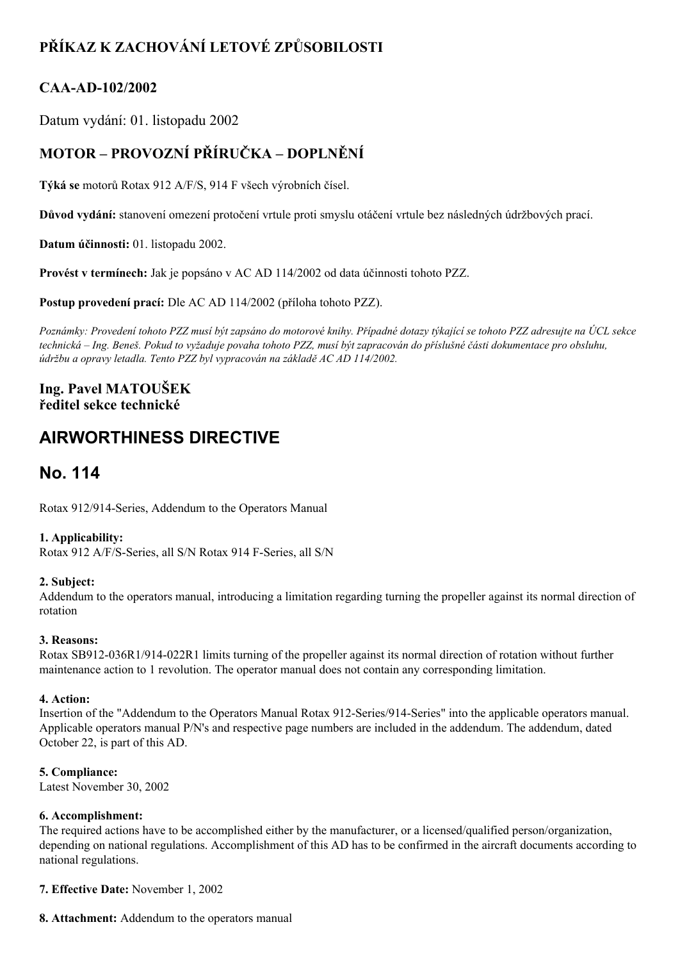# **PŘÍKAZ K ZACHOVÁNÍ LETOVÉ ZPŮSOBILOSTI**

### **CAAAD102/2002**

Datum vydání: 01. listopadu 2002

## **MOTOR – PROVOZNÍ PŘÍRUČKA – DOPLNĚNÍ**

**Týká se** motorů Rotax 912 A/F/S, 914 F všech výrobních čísel.

**Důvod vydání:** stanovení omezení protočení vrtule proti smyslu otáčení vrtule bez následných údržbových prací.

**Datum účinnosti:** 01. listopadu 2002.

**Provést v termínech:** Jak je popsáno v AC AD 114/2002 od data účinnosti tohoto PZZ.

**Postup provedení prací:** Dle AC AD 114/2002 (příloha tohoto PZZ).

Poznámky: Provedení tohoto PZZ musí být zapsáno do motorové knihy. Případné dotazy týkající se tohoto PZZ adresujte na ÚCL sekce technická – Ing. Beneš. Pokud to vyžaduje povaha tohoto PZZ, musí být zapracován do příslušné části dokumentace pro obsluhu, *údržbu a opravy letadla. Tento PZZ byl vypracován na základě AC AD 114/2002.*

### **Ing. Pavel MATOUŠEK ředitel sekce technické**

# **AIRWORTHINESS DIRECTIVE**

## **No. 114**

Rotax 912/914-Series, Addendum to the Operators Manual

### **1. Applicability:**

Rotax 912 A/F/S-Series, all S/N Rotax 914 F-Series, all S/N

### **2. Subject:**

Addendum to the operators manual, introducing a limitation regarding turning the propeller against its normal direction of rotation

### **3. Reasons:**

Rotax SB912-036R1/914-022R1 limits turning of the propeller against its normal direction of rotation without further maintenance action to 1 revolution. The operator manual does not contain any corresponding limitation.

#### **4. Action:**

Insertion of the "Addendum to the Operators Manual Rotax 912-Series/914-Series" into the applicable operators manual. Applicable operators manual P/N's and respective page numbers are included in the addendum. The addendum, dated October 22, is part of this AD.

### **5. Compliance:**

Latest November 30, 2002

#### **6. Accomplishment:**

The required actions have to be accomplished either by the manufacturer, or a licensed/qualified person/organization, depending on national regulations. Accomplishment of this AD has to be confirmed in the aircraft documents according to national regulations.

**7. Effective Date:** November 1, 2002

**8. Attachment:** Addendum to the operators manual